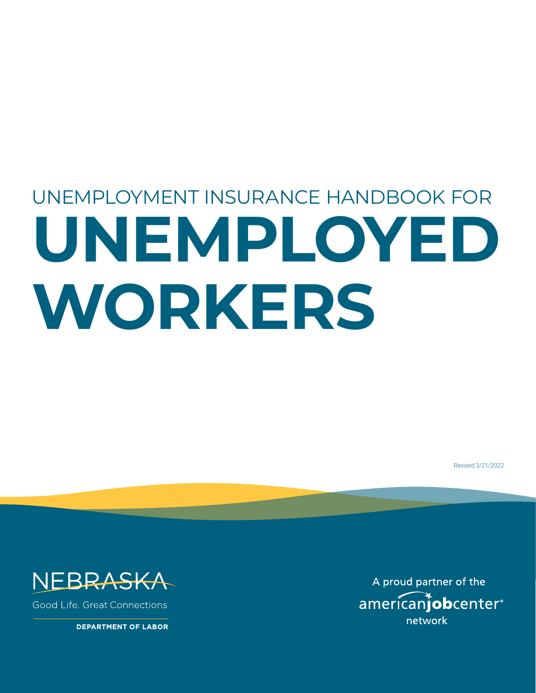# UNEMPLOYMENT INSURANCE HANDBOOK FOR **UNEMPLOYED WORKERS**

Revised 3/21/2022



Good Life, Great Connections.

**DEPARTMENT OF LABOR** 

A proud partner of the americanjobcenter<sup>®</sup> network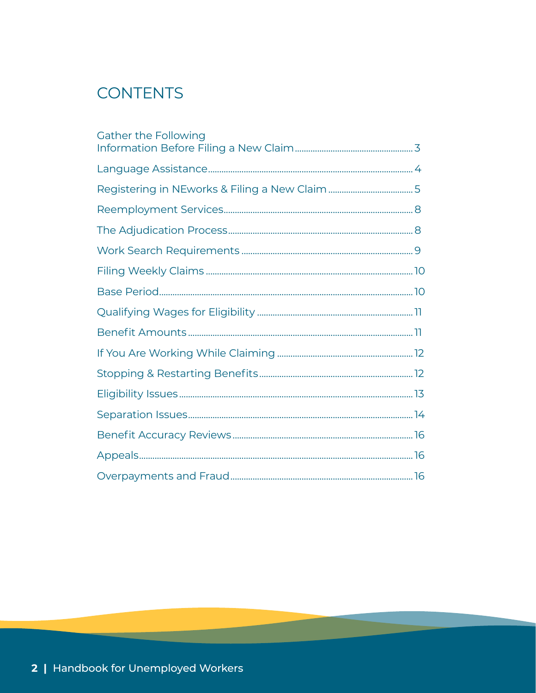# **CONTENTS**

| Gather the Following |
|----------------------|
|                      |
|                      |
|                      |
|                      |
|                      |
|                      |
|                      |
|                      |
|                      |
|                      |
|                      |
|                      |
|                      |
|                      |
|                      |
|                      |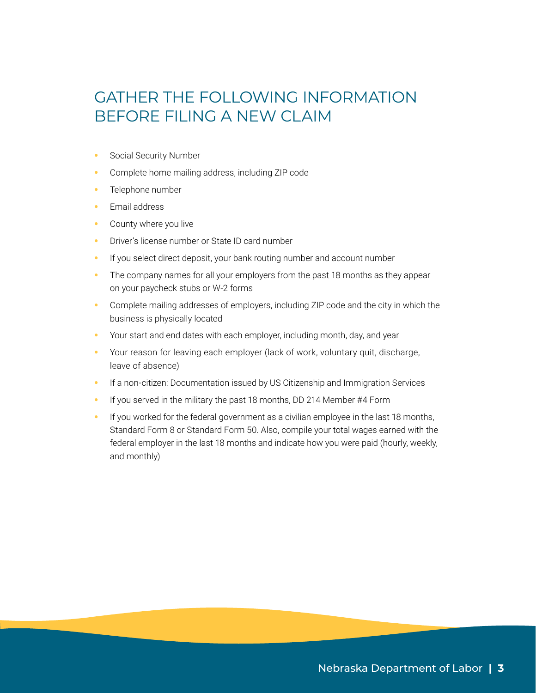# GATHER THE FOLLOWING INFORMATION BEFORE FILING A NEW CLAIM

- **•** Social Security Number
- **•** Complete home mailing address, including ZIP code
- **•** Telephone number
- **•** Email address
- **•** County where you live
- **•** Driver's license number or State ID card number
- **•** If you select direct deposit, your bank routing number and account number
- **•** The company names for all your employers from the past 18 months as they appear on your paycheck stubs or W-2 forms
- **•** Complete mailing addresses of employers, including ZIP code and the city in which the business is physically located
- **•** Your start and end dates with each employer, including month, day, and year
- **•** Your reason for leaving each employer (lack of work, voluntary quit, discharge, leave of absence)
- **•** If a non-citizen: Documentation issued by US Citizenship and Immigration Services
- **•** If you served in the military the past 18 months, DD 214 Member #4 Form
- **•** If you worked for the federal government as a civilian employee in the last 18 months, Standard Form 8 or Standard Form 50. Also, compile your total wages earned with the federal employer in the last 18 months and indicate how you were paid (hourly, weekly, and monthly)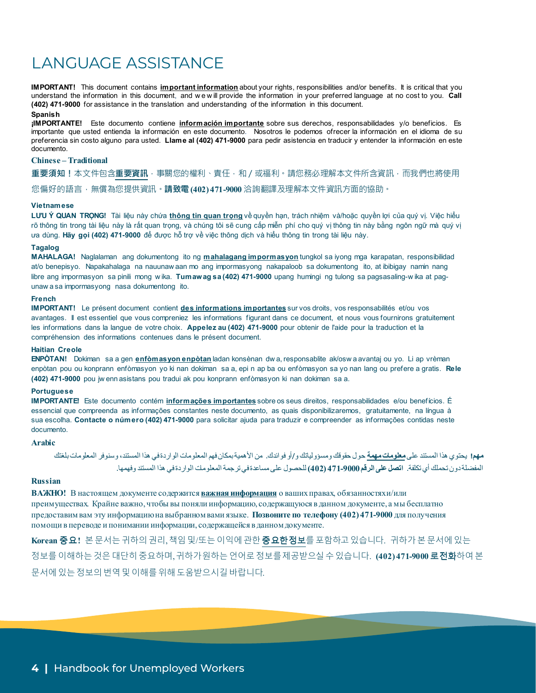# LANGUAGE ASSISTANCE

**IMPORTANT!** This document contains **important information** about your rights, responsibilities and/or benefits. It is critical that you understand the information in this document, and w e w ill provide the information in your preferred language at no cost to you. **Call (402) 471-9000** for assistance in the translation and understanding of the information in this document.

#### **Spanish**

**¡IMPORTANTE!** Este documento contiene **información importante** sobre sus derechos, responsabilidades y/o beneficios. Es importante que usted entienda la información en este documento. Nosotros le podemos ofrecer la información en el idioma de su preferencia sin costo alguno para usted. **Llame al (402) 471-9000** para pedir asistencia en traducir y entender la información en este documento.

#### **Chinese – Traditional**

**重要須知!**本文件包含**重要資訊**,事關您的權利、責任,和/或福利。請您務必理解本文件所含資訊,而我們也將使用 您偏好的語言,無償為您提供資訊。**請致電(402) 471-9000** 洽詢翻譯及理解本文件資訊方面的協助。

#### **Vietnamese**

**LƯU Ý QUAN TRỌNG!** Tài liệu này chứa **thông tin quan trọng** về quyền hạn, trách nhiệm và/hoặc quyền lợi của quý vị. Việc hiểu rõ thông tin trong tài liệu này là rất quan trọng, và chúng tôi sẽ cung cấp miễn phí cho quý vị thông tin này bằng ngôn ngữ mà quý vị ưa dùng. **Hãy gọi (402) 471-9000** để được hỗ trợ về việc thông dịch và hiểu thông tin trong tài liệu này.

#### **Tagalog**

**MAHALAGA!** Naglalaman ang dokumentong ito ng **mahalagang impormasyon** tungkol sa iyong mga karapatan, responsibilidad at/o benepisyo. Napakahalaga na nauunaw aan mo ang impormasyong nakapaloob sa dokumentong ito, at ibibigay namin nang libre ang impormasyon sa pinili mong w ika. **Tumawag sa (402) 471-9000** upang humingi ng tulong sa pagsasaling-w ika at pagunaw a sa impormasyong nasa dokumentong ito.

#### **French**

**IMPORTANT!** Le présent document contient **des informations importantes** sur vos droits, vos responsabilités et/ou vos avantages. Il est essentiel que vous compreniez les informations figurant dans ce document, et nous vous fournirons gratuitement les informations dans la langue de votre choix. **Appelez au (402) 471-9000** pour obtenir de l'aide pour la traduction et la compréhension des informations contenues dans le présent document.

#### **Haitian Creole**

**ENPÒTAN!** Dokiman sa a gen **enfòmasyon enpòtan** ladan konsènan dw a, responsablite ak/osw a avantaj ou yo. Li ap vrèman enpòtan pou ou konprann enfòmasyon yo ki nan dokiman sa a, epi n ap ba ou enfòmasyon sa yo nan lang ou prefere a gratis. **Rele (402) 471-9000** pou jw enn asistans pou tradui ak pou konprann enfòmasyon ki nan dokiman sa a.

#### **Portuguese**

**IMPORTANTE!** Este documento contém **informações importantes** sobre os seus direitos, responsabilidades e/ou benefícios. É essencial que compreenda as informações constantes neste documento, as quais disponibilizaremos, gratuitamente, na língua à sua escolha. **Contacte o número (402) 471-9000** para solicitar ajuda para traduzir e compreender as informações contidas neste documento.

#### **Arabic**

**مھم!** یحتوي ھذا المستند على**معلوماتمھمة** حول حقوقك ومسؤولیاتك و/أو فوائدك. من الأھمیةبمكانفھم المعلومات الواردةفي ھذا المستند، وسنوفر المعلوماتبلغتك المفضلةدون تحملك أيتكلفة. **اتصل على الرقم471-9000 (402)** للحصول علىمساعدةفيترجمةالمعلومات الواردةفي ھذا المستند وفھمھا.

#### **Russian**

**ВАЖНО!** В настоящем документе содержится **важная информация** о вашихправах, обязанностяхи/или преимуществах. Крайне важно, чтобы вы поняли информацию, содержащуюся в данном документе, а мы бесплатно предоставимвам эту информациюна выбранномвами языке. **Позвоните по телефону (402) 471-9000** для получения помощи в переводе и понимании информации, содержащейся в данномдокументе.

**Korean** 중요**!** 본문서는귀하의권리,책임및/또는이익에관한중요한정보를포함하고있습니다. 귀하가본문서에있는 정보를이해하는것은대단히중요하며,귀하가원하는언어로정보를제공받으실수있습니다. **(402) 471-9000** 로전화하여본 문서에있는정보의번역및이해를위해도움받으시길바랍니다.

Handbook for Unemployed Workers | **3**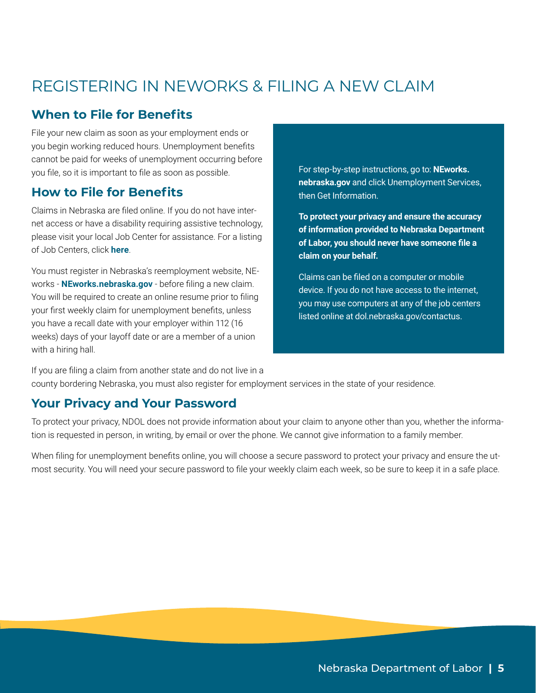# REGISTERING IN NEWORKS & FILING A NEW CLAIM

## **When to File for Benefits**

File your new claim as soon as your employment ends or you begin working reduced hours. Unemployment benefits cannot be paid for weeks of unemployment occurring before you file, so it is important to file as soon as possible.

#### **How to File for Benefits**

Claims in Nebraska are filed online. If you do not have internet access or have a disability requiring assistive technology, please visit your local Job Center for assistance. For a listing of Job Centers, click **[here](https://dol.nebraska.gov/Home/AboutUs)**.

You must register in Nebraska's reemployment website, NEworks - **[NEworks.nebraska.gov](http://NEworks.nebraska.gov)** - before filing a new claim. You will be required to create an online resume prior to filing your first weekly claim for unemployment benefits, unless you have a recall date with your employer within 112 (16 weeks) days of your layoff date or are a member of a union with a hiring hall.

For step-by-step instructions, go to: **[NEworks.](http://neworks.nebraska.gov) [nebraska.gov](http://neworks.nebraska.gov)** and click Unemployment Services, then Get Information.

**To protect your privacy and ensure the accuracy of information provided to Nebraska Department of Labor, you should never have someone file a claim on your behalf.**

Claims can be filed on a computer or mobile device. If you do not have access to the internet, you may use computers at any of the job centers listed online at dol.nebraska.gov/contactus.

If you are filing a claim from another state and do not live in a county bordering Nebraska, you must also register for employment services in the state of your residence.

#### **Your Privacy and Your Password**

To protect your privacy, NDOL does not provide information about your claim to anyone other than you, whether the information is requested in person, in writing, by email or over the phone. We cannot give information to a family member.

When filing for unemployment benefits online, you will choose a secure password to protect your privacy and ensure the utmost security. You will need your secure password to file your weekly claim each week, so be sure to keep it in a safe place.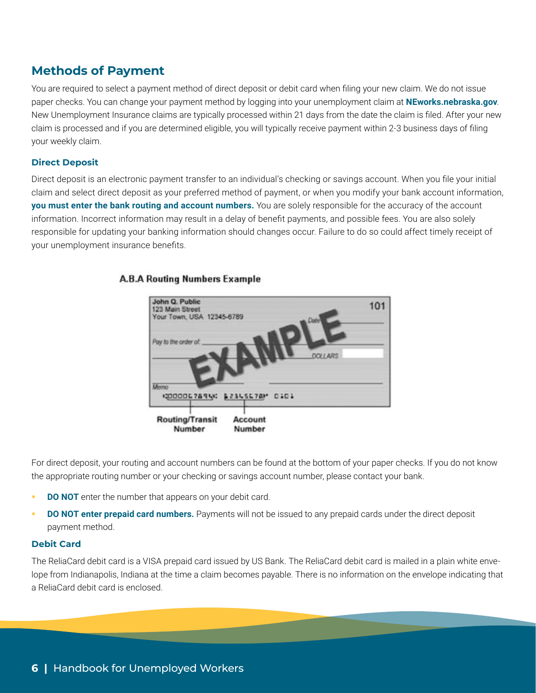#### **Methods of Payment**

You are required to select a payment method of direct deposit or debit card when filing your new claim. We do not issue paper checks. You can change your payment method by logging into your unemployment claim at **[NEworks.nebraska.gov](http://neworks.nebraska.gov)**. New Unemployment Insurance claims are typically processed within 21 days from the date the claim is filed. After your new claim is processed and if you are determined eligible, you will typically receive payment within 2-3 business days of filing your weekly claim.

#### **Direct Deposit**

Direct deposit is an electronic payment transfer to an individual's checking or savings account. When you file your initial claim and select direct deposit as your preferred method of payment, or when you modify your bank account information, **you must enter the bank routing and account numbers.** You are solely responsible for the accuracy of the account information. Incorrect information may result in a delay of benefit payments, and possible fees. You are also solely responsible for updating your banking information should changes occur. Failure to do so could affect timely receipt of your unemployment insurance benefits.

#### **A.B.A Routing Numbers Example**



For direct deposit, your routing and account numbers can be found at the bottom of your paper checks. If you do not know the appropriate routing number or your checking or savings account number, please contact your bank.

- **DO NOT** enter the number that appears on your debit card.
- **• DO NOT enter prepaid card numbers.** Payments will not be issued to any prepaid cards under the direct deposit payment method.

#### **Debit Card**

The ReliaCard debit card is a VISA prepaid card issued by US Bank. The ReliaCard debit card is mailed in a plain white envelope from Indianapolis, Indiana at the time a claim becomes payable. There is no information on the envelope indicating that a ReliaCard debit card is enclosed.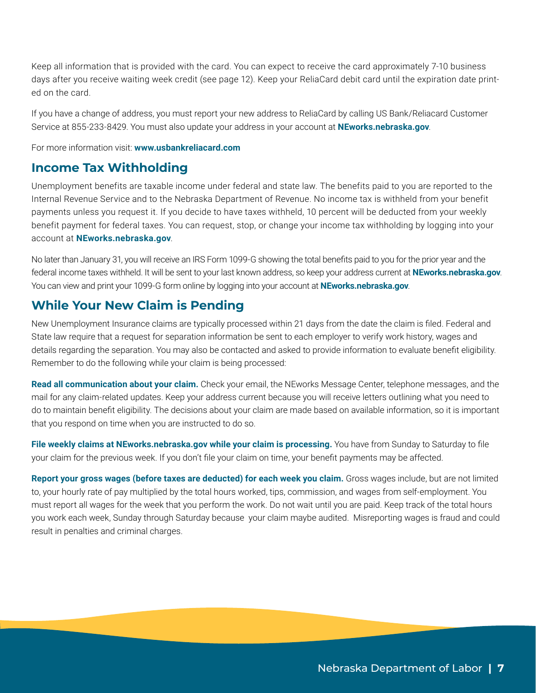Keep all information that is provided with the card. You can expect to receive the card approximately 7-10 business days after you receive waiting week credit (see page 12). Keep your ReliaCard debit card until the expiration date printed on the card.

If you have a change of address, you must report your new address to ReliaCard by calling US Bank/Reliacard Customer Service at 855-233-8429. You must also update your address in your account at **[NEworks.nebraska.gov](http://neworks.nebraska.gov)**.

For more information visit: **[www.usbankreliacard.com](https://www.usbankreliacard.com/)**

#### **Income Tax Withholding**

Unemployment benefits are taxable income under federal and state law. The benefits paid to you are reported to the Internal Revenue Service and to the Nebraska Department of Revenue. No income tax is withheld from your benefit payments unless you request it. If you decide to have taxes withheld, 10 percent will be deducted from your weekly benefit payment for federal taxes. You can request, stop, or change your income tax withholding by logging into your account at **[NEworks.nebraska.gov](http://NEworks.nebraska.gov)**.

No later than January 31, you will receive an IRS Form 1099-G showing the total benefits paid to you for the prior year and the federal income taxes withheld. It will be sent to your last known address, so keep your address current at **[NEworks.nebraska.gov](http://NEworks.nebraska.gov)**. You can view and print your 1099-G form online by logging into your account at **[NEworks.nebraska.gov](https://neworks.nebraska.gov/vosnet/Default.aspx)**.

## **While Your New Claim is Pending**

New Unemployment Insurance claims are typically processed within 21 days from the date the claim is filed. Federal and State law require that a request for separation information be sent to each employer to verify work history, wages and details regarding the separation. You may also be contacted and asked to provide information to evaluate benefit eligibility. Remember to do the following while your claim is being processed:

**Read all communication about your claim.** Check your email, the NEworks Message Center, telephone messages, and the mail for any claim-related updates. Keep your address current because you will receive letters outlining what you need to do to maintain benefit eligibility. The decisions about your claim are made based on available information, so it is important that you respond on time when you are instructed to do so.

**File weekly claims at [NEworks.nebraska.gov](http://NEworks.nebraska.gov) while your claim is processing.** You have from Sunday to Saturday to file your claim for the previous week. If you don't file your claim on time, your benefit payments may be affected.

**Report your gross wages (before taxes are deducted) for each week you claim.** Gross wages include, but are not limited to, your hourly rate of pay multiplied by the total hours worked, tips, commission, and wages from self-employment. You must report all wages for the week that you perform the work. Do not wait until you are paid. Keep track of the total hours you work each week, Sunday through Saturday because your claim maybe audited. Misreporting wages is fraud and could result in penalties and criminal charges.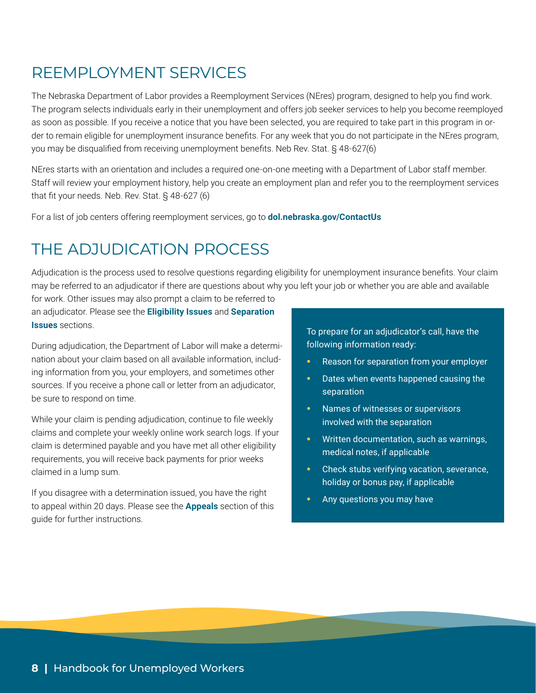# REEMPLOYMENT SERVICES

The Nebraska Department of Labor provides a Reemployment Services (NEres) program, designed to help you find work. The program selects individuals early in their unemployment and offers job seeker services to help you become reemployed as soon as possible. If you receive a notice that you have been selected, you are required to take part in this program in order to remain eligible for unemployment insurance benefits. For any week that you do not participate in the NEres program, you may be disqualified from receiving unemployment benefits. Neb Rev. Stat. § 48-627(6)

NEres starts with an orientation and includes a required one-on-one meeting with a Department of Labor staff member. Staff will review your employment history, help you create an employment plan and refer you to the reemployment services that fit your needs. Neb. Rev. Stat. § 48-627 (6)

For a list of job centers offering reemployment services, go to **[dol.nebraska.gov/ContactUs](https://dol.nebraska.gov/ContactUs)**

# THE ADJUDICATION PROCESS

Adjudication is the process used to resolve questions regarding eligibility for unemployment insurance benefits. Your claim may be referred to an adjudicator if there are questions about why you left your job or whether you are able and available for work. Other issues may also prompt a claim to be referred to

an adjudicator. Please see the **Eligibility Issues** and **Separation Issues** sections.

During adjudication, the Department of Labor will make a determination about your claim based on all available information, including information from you, your employers, and sometimes other sources. If you receive a phone call or letter from an adjudicator, be sure to respond on time.

While your claim is pending adjudication, continue to file weekly claims and complete your weekly online work search logs. If your claim is determined payable and you have met all other eligibility requirements, you will receive back payments for prior weeks claimed in a lump sum.

If you disagree with a determination issued, you have the right to appeal within 20 days. Please see the **Appeals** section of this guide for further instructions.

To prepare for an adjudicator's call, have the following information ready:

- **•** Reason for separation from your employer
- **•** Dates when events happened causing the separation
- **•** Names of witnesses or supervisors involved with the separation
- **•** Written documentation, such as warnings, medical notes, if applicable
- **•** Check stubs verifying vacation, severance, holiday or bonus pay, if applicable
- **•** Any questions you may have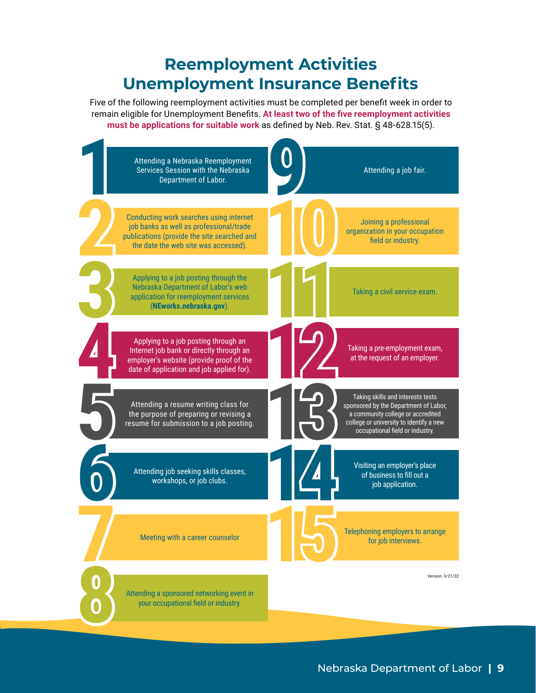# **Reemployment Activities Unemployment Insurance Benefits**

Five of the following reemployment activities must be completed per benefit week in order to remain eligible for Unemployment Benefits. **At least two of the five reemployment activities must be applications for suitable work** as defined by Neb. Rev. Stat. § 48-628.15(5).

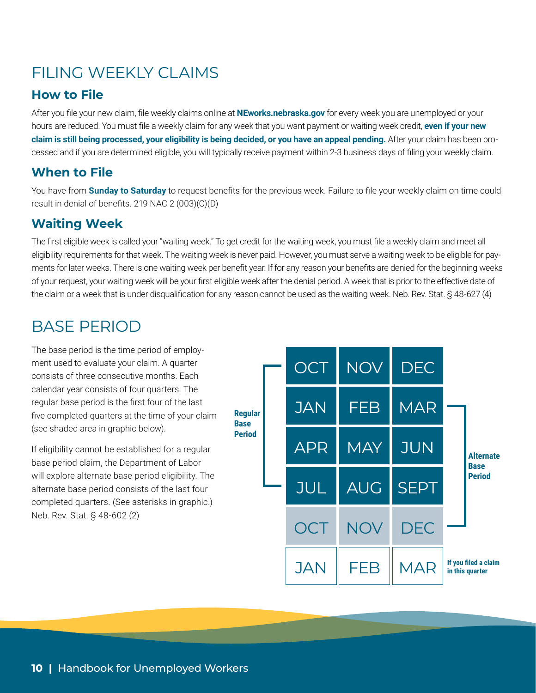# FILING WEEKLY CLAIMS

## **How to File**

After you file your new claim, file weekly claims online at **[NEworks.nebraska.gov](http://neworks.nebraska.gov)** for every week you are unemployed or your hours are reduced. You must file a weekly claim for any week that you want payment or waiting week credit, **even if your new claim is still being processed, your eligibility is being decided, or you have an appeal pending.** After your claim has been processed and if you are determined eligible, you will typically receive payment within 2-3 business days of filing your weekly claim.

## **When to File**

You have from **Sunday to Saturday** to request benefits for the previous week. Failure to file your weekly claim on time could result in denial of benefits. 219 NAC 2 (003)(C)(D)

## **Waiting Week**

The first eligible week is called your "waiting week." To get credit for the waiting week, you must file a weekly claim and meet all eligibility requirements for that week. The waiting week is never paid. However, you must serve a waiting week to be eligible for payments for later weeks. There is one waiting week per benefit year. If for any reason your benefits are denied for the beginning weeks of your request, your waiting week will be your first eligible week after the denial period. A week that is prior to the effective date of the claim or a week that is under disqualification for any reason cannot be used as the waiting week. Neb. Rev. Stat. § 48-627 (4)

# BASE PERIOD

The base period is the time period of employment used to evaluate your claim. A quarter consists of three consecutive months. Each calendar year consists of four quarters. The regular base period is the first four of the last five completed quarters at the time of your claim (see shaded area in graphic below).

If eligibility cannot be established for a regular base period claim, the Department of Labor will explore alternate base period eligibility. The alternate base period consists of the last four completed quarters. (See asterisks in graphic.) Neb. Rev. Stat. § 48-602 (2)

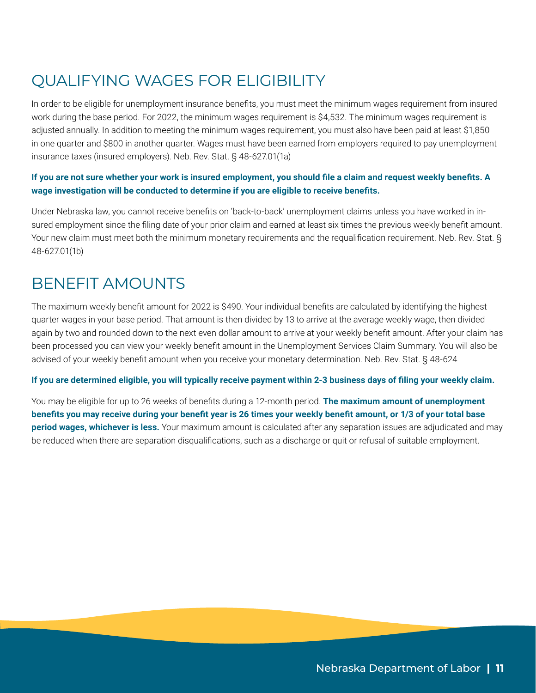# QUALIFYING WAGES FOR ELIGIBILITY

In order to be eligible for unemployment insurance benefits, you must meet the minimum wages requirement from insured work during the base period. For 2022, the minimum wages requirement is \$4,532. The minimum wages requirement is adjusted annually. In addition to meeting the minimum wages requirement, you must also have been paid at least \$1,850 in one quarter and \$800 in another quarter. Wages must have been earned from employers required to pay unemployment insurance taxes (insured employers). Neb. Rev. Stat. § 48-627.01(1a)

#### **If you are not sure whether your work is insured employment, you should file a claim and request weekly benefits. A wage investigation will be conducted to determine if you are eligible to receive benefits.**

Under Nebraska law, you cannot receive benefits on 'back-to-back' unemployment claims unless you have worked in insured employment since the filing date of your prior claim and earned at least six times the previous weekly benefit amount. Your new claim must meet both the minimum monetary requirements and the requalification requirement. Neb. Rev. Stat. § 48-627.01(1b)

## BENEFIT AMOUNTS

The maximum weekly benefit amount for 2022 is \$490. Your individual benefits are calculated by identifying the highest quarter wages in your base period. That amount is then divided by 13 to arrive at the average weekly wage, then divided again by two and rounded down to the next even dollar amount to arrive at your weekly benefit amount. After your claim has been processed you can view your weekly benefit amount in the Unemployment Services Claim Summary. You will also be advised of your weekly benefit amount when you receive your monetary determination. Neb. Rev. Stat. § 48-624

#### **If you are determined eligible, you will typically receive payment within 2-3 business days of filing your weekly claim.**

You may be eligible for up to 26 weeks of benefits during a 12-month period. **The maximum amount of unemployment benefits you may receive during your benefit year is 26 times your weekly benefit amount, or 1/3 of your total base period wages, whichever is less.** Your maximum amount is calculated after any separation issues are adjudicated and may be reduced when there are separation disqualifications, such as a discharge or quit or refusal of suitable employment.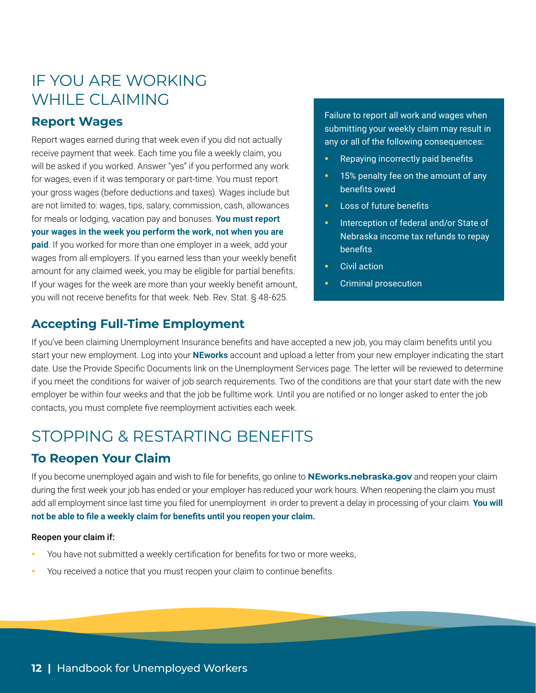# IF YOU ARE WORKING WHILE CLAIMING

#### **Report Wages**

Report wages earned during that week even if you did not actually receive payment that week. Each time you file a weekly claim, you will be asked if you worked. Answer "yes" if you performed any work for wages, even if it was temporary or part-time. You must report your gross wages (before deductions and taxes). Wages include but are not limited to: wages, tips, salary, commission, cash, allowances for meals or lodging, vacation pay and bonuses. **You must report your wages in the week you perform the work, not when you are paid**. If you worked for more than one employer in a week, add your wages from all employers. If you earned less than your weekly benefit amount for any claimed week, you may be eligible for partial benefits. If your wages for the week are more than your weekly benefit amount, you will not receive benefits for that week. Neb. Rev. Stat. § 48-625.

## **Accepting Full-Time Employment**

Failure to report all work and wages when submitting your weekly claim may result in any or all of the following consequences:

- **•** Repaying incorrectly paid benefits
- **•** 15% penalty fee on the amount of any benefits owed
- **•** Loss of future benefits
- **•** Interception of federal and/or State of Nebraska income tax refunds to repay benefits
- **•** Civil action
- **•** Criminal prosecution

If you've been claiming Unemployment Insurance benefits and have accepted a new job, you may claim benefits until you start your new employment. Log into your **[NEworks](https://neworks.nebraska.gov/vosnet/Default.aspx)** account and upload a letter from your new employer indicating the start date. Use the Provide Specific Documents link on the Unemployment Services page. The letter will be reviewed to determine if you meet the conditions for waiver of job search requirements. Two of the conditions are that your start date with the new employer be within four weeks and that the job be fulltime work. Until you are notified or no longer asked to enter the job contacts, you must complete five reemployment activities each week.

# STOPPING & RESTARTING BENEFITS

## **To Reopen Your Claim**

If you become unemployed again and wish to file for benefits, go online to **[NEworks.nebraska.gov](http://NEworks.nebraska.gov)** and reopen your claim during the first week your job has ended or your employer has reduced your work hours. When reopening the claim you must add all employment since last time you filed for unemployment in order to prevent a delay in processing of your claim. **You will not be able to file a weekly claim for benefits until you reopen your claim.**

#### Reopen your claim if:

- **•** You have not submitted a weekly certification for benefits for two or more weeks,
- **•** You received a notice that you must reopen your claim to continue benefits.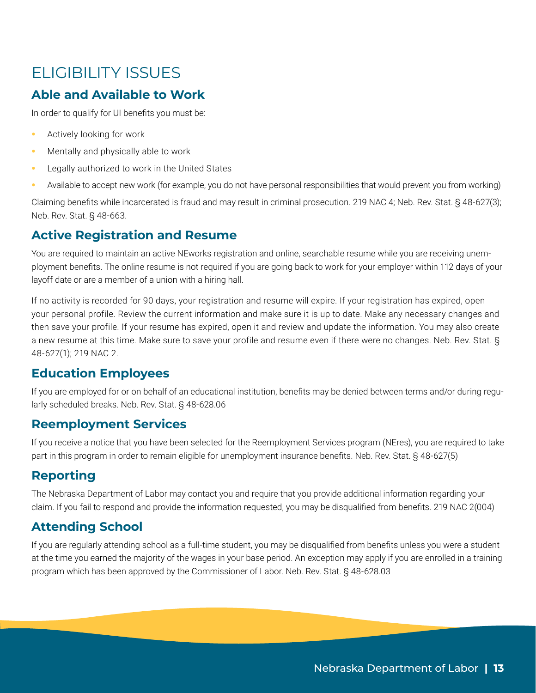# ELIGIBILITY ISSUES

## **Able and Available to Work**

In order to qualify for UI benefits you must be:

- **•** Actively looking for work
- **•** Mentally and physically able to work
- **•** Legally authorized to work in the United States
- **•** Available to accept new work (for example, you do not have personal responsibilities that would prevent you from working)

Claiming benefits while incarcerated is fraud and may result in criminal prosecution. 219 NAC 4; Neb. Rev. Stat. § 48-627(3); Neb. Rev. Stat. § 48-663.

## **Active Registration and Resume**

You are required to maintain an active NEworks registration and online, searchable resume while you are receiving unemployment benefits. The online resume is not required if you are going back to work for your employer within 112 days of your layoff date or are a member of a union with a hiring hall.

If no activity is recorded for 90 days, your registration and resume will expire. If your registration has expired, open your personal profile. Review the current information and make sure it is up to date. Make any necessary changes and then save your profile. If your resume has expired, open it and review and update the information. You may also create a new resume at this time. Make sure to save your profile and resume even if there were no changes. Neb. Rev. Stat. § 48-627(1); 219 NAC 2.

## **Education Employees**

If you are employed for or on behalf of an educational institution, benefits may be denied between terms and/or during regularly scheduled breaks. Neb. Rev. Stat. § 48-628.06

#### **Reemployment Services**

If you receive a notice that you have been selected for the Reemployment Services program (NEres), you are required to take part in this program in order to remain eligible for unemployment insurance benefits. Neb. Rev. Stat. § 48-627(5)

## **Reporting**

The Nebraska Department of Labor may contact you and require that you provide additional information regarding your claim. If you fail to respond and provide the information requested, you may be disqualified from benefits. 219 NAC 2(004)

## **Attending School**

If you are regularly attending school as a full-time student, you may be disqualified from benefits unless you were a student at the time you earned the majority of the wages in your base period. An exception may apply if you are enrolled in a training program which has been approved by the Commissioner of Labor. Neb. Rev. Stat. § 48-628.03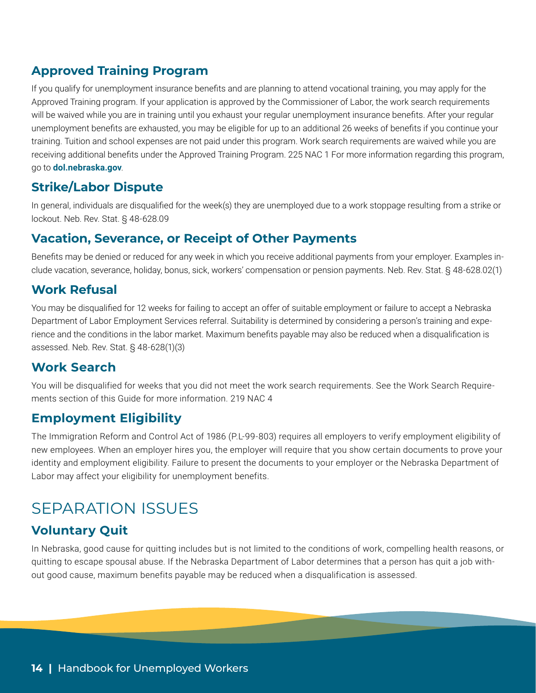## **Approved Training Program**

If you qualify for unemployment insurance benefits and are planning to attend vocational training, you may apply for the Approved Training program. If your application is approved by the Commissioner of Labor, the work search requirements will be waived while you are in training until you exhaust your regular unemployment insurance benefits. After your regular unemployment benefits are exhausted, you may be eligible for up to an additional 26 weeks of benefits if you continue your training. Tuition and school expenses are not paid under this program. Work search requirements are waived while you are receiving additional benefits under the Approved Training Program. 225 NAC 1 For more information regarding this program, go to **[dol.nebraska.gov](http://dol.nebraska.gov)**.

## **Strike/Labor Dispute**

In general, individuals are disqualified for the week(s) they are unemployed due to a work stoppage resulting from a strike or lockout. Neb. Rev. Stat. § 48-628.09

#### **Vacation, Severance, or Receipt of Other Payments**

Benefits may be denied or reduced for any week in which you receive additional payments from your employer. Examples include vacation, severance, holiday, bonus, sick, workers' compensation or pension payments. Neb. Rev. Stat. § 48-628.02(1)

## **Work Refusal**

You may be disqualified for 12 weeks for failing to accept an offer of suitable employment or failure to accept a Nebraska Department of Labor Employment Services referral. Suitability is determined by considering a person's training and experience and the conditions in the labor market. Maximum benefits payable may also be reduced when a disqualification is assessed. Neb. Rev. Stat. § 48-628(1)(3)

## **Work Search**

You will be disqualified for weeks that you did not meet the work search requirements. See the Work Search Requirements section of this Guide for more information. 219 NAC 4

## **Employment Eligibility**

The Immigration Reform and Control Act of 1986 (P.L-99-803) requires all employers to verify employment eligibility of new employees. When an employer hires you, the employer will require that you show certain documents to prove your identity and employment eligibility. Failure to present the documents to your employer or the Nebraska Department of Labor may affect your eligibility for unemployment benefits.

# SEPARATION ISSUES

## **Voluntary Quit**

In Nebraska, good cause for quitting includes but is not limited to the conditions of work, compelling health reasons, or quitting to escape spousal abuse. If the Nebraska Department of Labor determines that a person has quit a job without good cause, maximum benefits payable may be reduced when a disqualification is assessed.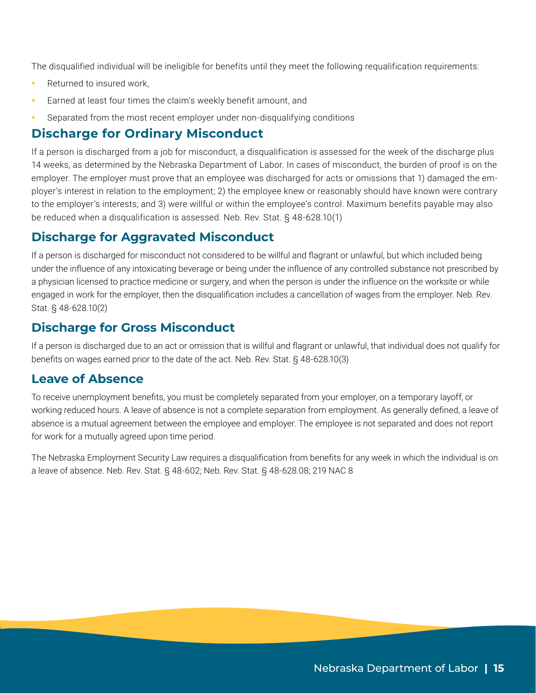The disqualified individual will be ineligible for benefits until they meet the following requalification requirements:

- **•** Returned to insured work,
- **•** Earned at least four times the claim's weekly benefit amount, and
- **•** Separated from the most recent employer under non-disqualifying conditions

#### **Discharge for Ordinary Misconduct**

If a person is discharged from a job for misconduct, a disqualification is assessed for the week of the discharge plus 14 weeks, as determined by the Nebraska Department of Labor. In cases of misconduct, the burden of proof is on the employer. The employer must prove that an employee was discharged for acts or omissions that 1) damaged the employer's interest in relation to the employment; 2) the employee knew or reasonably should have known were contrary to the employer's interests; and 3) were willful or within the employee's control. Maximum benefits payable may also be reduced when a disqualification is assessed. Neb. Rev. Stat. § 48-628.10(1)

#### **Discharge for Aggravated Misconduct**

If a person is discharged for misconduct not considered to be willful and flagrant or unlawful, but which included being under the influence of any intoxicating beverage or being under the influence of any controlled substance not prescribed by a physician licensed to practice medicine or surgery, and when the person is under the influence on the worksite or while engaged in work for the employer, then the disqualification includes a cancellation of wages from the employer. Neb. Rev. Stat. § 48-628.10(2)

#### **Discharge for Gross Misconduct**

If a person is discharged due to an act or omission that is willful and flagrant or unlawful, that individual does not qualify for benefits on wages earned prior to the date of the act. Neb. Rev. Stat. § 48-628.10(3)

#### **Leave of Absence**

To receive unemployment benefits, you must be completely separated from your employer, on a temporary layoff, or working reduced hours. A leave of absence is not a complete separation from employment. As generally defined, a leave of absence is a mutual agreement between the employee and employer. The employee is not separated and does not report for work for a mutually agreed upon time period.

The Nebraska Employment Security Law requires a disqualification from benefits for any week in which the individual is on a leave of absence. Neb. Rev. Stat. § 48-602; Neb. Rev. Stat. § 48-628.08; 219 NAC 8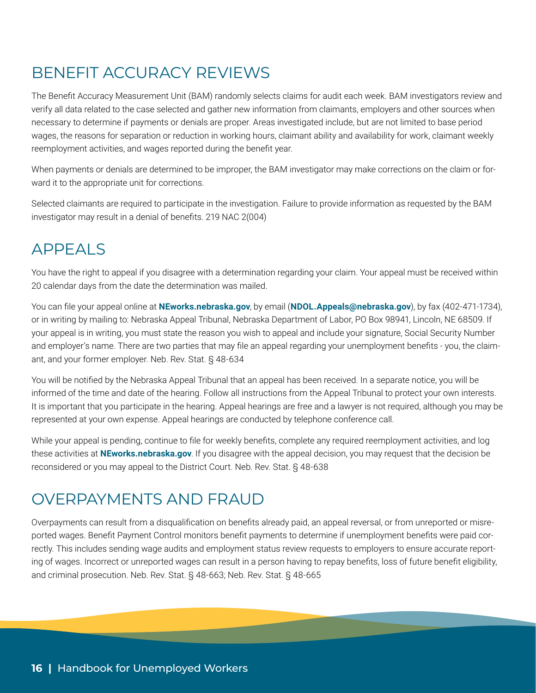# BENEFIT ACCURACY REVIEWS

The Benefit Accuracy Measurement Unit (BAM) randomly selects claims for audit each week. BAM investigators review and verify all data related to the case selected and gather new information from claimants, employers and other sources when necessary to determine if payments or denials are proper. Areas investigated include, but are not limited to base period wages, the reasons for separation or reduction in working hours, claimant ability and availability for work, claimant weekly reemployment activities, and wages reported during the benefit year.

When payments or denials are determined to be improper, the BAM investigator may make corrections on the claim or forward it to the appropriate unit for corrections.

Selected claimants are required to participate in the investigation. Failure to provide information as requested by the BAM investigator may result in a denial of benefits. 219 NAC 2(004)

# APPEALS

You have the right to appeal if you disagree with a determination regarding your claim. Your appeal must be received within 20 calendar days from the date the determination was mailed.

You can file your appeal online at **[NEworks.nebraska.gov](http://neworks.nebraska.gov)**, by email (**NDOL.Appeals@nebraska.gov**), by fax (402-471-1734), or in writing by mailing to: Nebraska Appeal Tribunal, Nebraska Department of Labor, PO Box 98941, Lincoln, NE 68509. If your appeal is in writing, you must state the reason you wish to appeal and include your signature, Social Security Number and employer's name. There are two parties that may file an appeal regarding your unemployment benefits - you, the claimant, and your former employer. Neb. Rev. Stat. § 48-634

You will be notified by the Nebraska Appeal Tribunal that an appeal has been received. In a separate notice, you will be informed of the time and date of the hearing. Follow all instructions from the Appeal Tribunal to protect your own interests. It is important that you participate in the hearing. Appeal hearings are free and a lawyer is not required, although you may be represented at your own expense. Appeal hearings are conducted by telephone conference call.

While your appeal is pending, continue to file for weekly benefits, complete any required reemployment activities, and log these activities at **[NEworks.nebraska.gov](http://NEworks.nebraska.gov)**. If you disagree with the appeal decision, you may request that the decision be reconsidered or you may appeal to the District Court. Neb. Rev. Stat. § 48-638

# OVERPAYMENTS AND FRAUD

Overpayments can result from a disqualification on benefits already paid, an appeal reversal, or from unreported or misreported wages. Benefit Payment Control monitors benefit payments to determine if unemployment benefits were paid correctly. This includes sending wage audits and employment status review requests to employers to ensure accurate reporting of wages. Incorrect or unreported wages can result in a person having to repay benefits, loss of future benefit eligibility, and criminal prosecution. Neb. Rev. Stat. § 48-663; Neb. Rev. Stat. § 48-665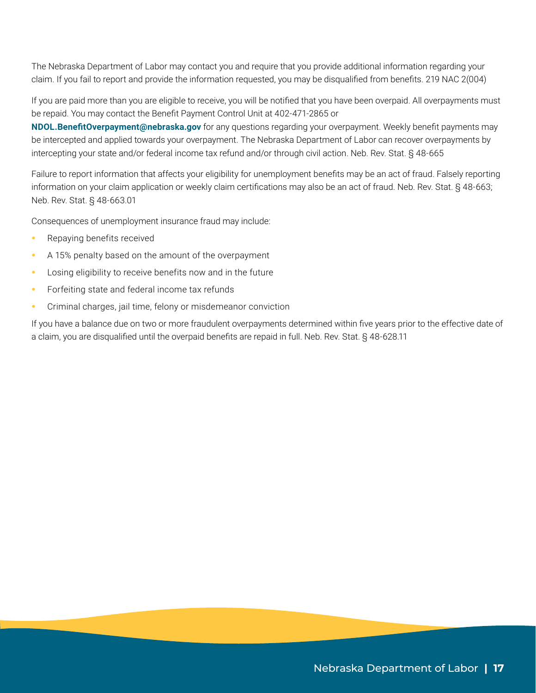The Nebraska Department of Labor may contact you and require that you provide additional information regarding your claim. If you fail to report and provide the information requested, you may be disqualified from benefits. 219 NAC 2(004)

If you are paid more than you are eligible to receive, you will be notified that you have been overpaid. All overpayments must be repaid. You may contact the Benefit Payment Control Unit at 402-471-2865 or

**[NDOL.BenefitOverpayment@nebraska.gov](mailto:NDOL.BenefitOverpayment%40nebraska.gov?subject=)** for any questions regarding your overpayment. Weekly benefit payments may be intercepted and applied towards your overpayment. The Nebraska Department of Labor can recover overpayments by intercepting your state and/or federal income tax refund and/or through civil action. Neb. Rev. Stat. § 48-665

Failure to report information that affects your eligibility for unemployment benefits may be an act of fraud. Falsely reporting information on your claim application or weekly claim certifications may also be an act of fraud. Neb. Rev. Stat. § 48-663; Neb. Rev. Stat. § 48-663.01

Consequences of unemployment insurance fraud may include:

- **•** Repaying benefits received
- **•** A 15% penalty based on the amount of the overpayment
- **•** Losing eligibility to receive benefits now and in the future
- **•** Forfeiting state and federal income tax refunds
- **•** Criminal charges, jail time, felony or misdemeanor conviction

If you have a balance due on two or more fraudulent overpayments determined within five years prior to the effective date of a claim, you are disqualified until the overpaid benefits are repaid in full. Neb. Rev. Stat. § 48-628.11